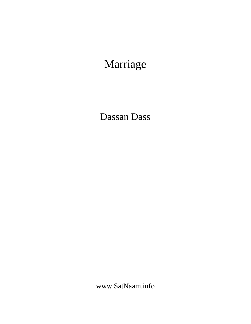# Marriage

Dassan Dass

www.SatNaam.info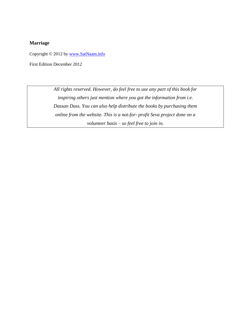## **Marriage**

Copyright © 2012 by [www.SatNaam.info](http://www.satnaam.info/)

First Edition December 2012

*All rights reserved. However, do feel free to use any part of this book for inspiring others just mention where you got the information from i.e. Dassan Dass. You can also help distribute the books by purchasing them online from the website. This is a not-for- profit Seva project done on a volunteer basis – so feel free to join in.*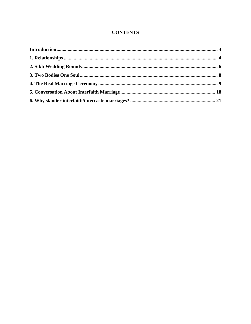# **CONTENTS**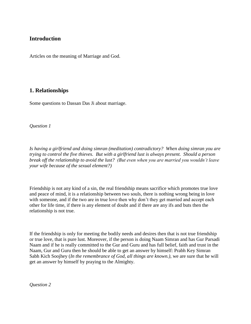# <span id="page-3-0"></span>**Introduction**

Articles on the meaning of Marriage and God.

# <span id="page-3-1"></span>**1. Relationships**

Some questions to Dassan Das Ji about marriage.

*Question 1*

*Is having a girlfriend and doing simran (meditation) contradictory? When doing simran you are trying to control the five thieves. But with a girlfriend lust is always present. Should a person break off the relationship to avoid the lust? (But even when you are married you wouldn't leave your wife because of the sexual element?)*

Friendship is not any kind of a sin, the real friendship means sacrifice which promotes true love and peace of mind, it is a relationship between two souls, there is nothing wrong being in love with someone, and if the two are in true love then why don't they get married and accept each other for life time, if there is any element of doubt and if there are any ifs and buts then the relationship is not true.

If the friendship is only for meeting the bodily needs and desires then that is not true friendship or true love, that is pure lust. Moreover, if the person is doing Naam Simran and has Gur Parsadi Naam and if he is really committed to the Gur and Guru and has full belief, faith and trust in the Naam, Gur and Guru then he should be able to get an answer by himself: Prabh Key Simran Sabh Kich Soojhey (*In the remembrance of God, all things are known.)*, we are sure that he will get an answer by himself by praying to the Almighty.

*Question 2*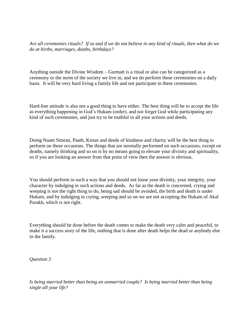*Are all ceremonies rituals? If so and if we do not believe in any kind of rituals, then what do we do at births, marriages, deaths, birthdays?*

Anything outside the Divine Wisdom – Gurmatt is a ritual or also can be categorized as a ceremony or the norm of the society we live in, and we do perform these ceremonies on a daily basis. It will be very hard living a family life and not participate in these ceremonies.

Hard-line attitude is also not a good thing to have either. The best thing will be to accept the life as everything happening in God's Hukam (order), and not forget God while participating any kind of such ceremonies, and just try to be truthful in all your actions and deeds.

Doing Naam Simran, Paath, Kirtan and deeds of kindness and charity will be the best thing to perform on these occasions. The things that are normally performed on such occasions, except on deaths, namely drinking and so on is by no means going to elevate your divinity and spirituality, so if you are looking an answer from that point of view then the answer is obvious.

You should perform in such a way that you should not loose your divinity, your integrity, your character by indulging in such actions and deeds. As far as the death is concerned, crying and weeping is not the right thing to do, being sad should be avoided, the birth and death is under Hukam, and by indulging in crying, weeping and so on we are not accepting the Hukam of Akal Purakh, which is not right.

Everything should be done before the death comes to make the death very calm and peaceful, to make it a success story of the life, nothing that is done after death helps the dead or anybody else in the family.

*Question 3*

*Is being married better than being an unmarried couple? Is being married better than being single all your life?*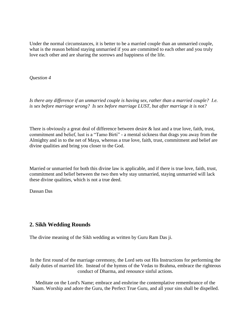Under the normal circumstances, it is better to be a married couple than an unmarried couple, what is the reason behind staying unmarried if you are committed to each other and you truly love each other and are sharing the sorrows and happiness of the life.

*Question 4*

*Is there any difference if an unmarried couple is having sex, rather than a married couple? I.e. is sex before marriage wrong? Is sex before marriage LUST, but after marriage it is not?*

There is obviously a great deal of difference between desire & lust and a true love, faith, trust, commitment and belief, lust is a "Tamo Birti" - a mental sickness that drags you away from the Almighty and in to the net of Maya, whereas a true love, faith, trust, commitment and belief are divine qualities and bring you closer to the God.

Married or unmarried for both this divine law is applicable, and if there is true love, faith, trust, commitment and belief between the two then why stay unmarried, staying unmarried will lack these divine qualities, which is not a true deed.

Dassan Das

# <span id="page-5-0"></span>**2. Sikh Wedding Rounds**

The divine meaning of the Sikh wedding as written by Guru Ram Das ji.

In the first round of the marriage ceremony, the Lord sets out His Instructions for performing the daily duties of married life. Instead of the hymns of the Vedas to Brahma, embrace the righteous conduct of Dharma, and renounce sinful actions.

Meditate on the Lord's Name; embrace and enshrine the contemplative remembrance of the Naam. Worship and adore the Guru, the Perfect True Guru, and all your sins shall be dispelled.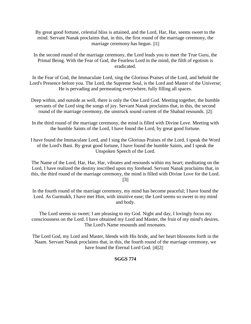By great good fortune, celestial bliss is attained, and the Lord, Har, Har, seems sweet to the mind. Servant Nanak proclaims that, in this, the first round of the marriage ceremony, the marriage ceremony has begun. ||1||

In the second round of the marriage ceremony, the Lord leads you to meet the True Guru, the Primal Being. With the Fear of God, the Fearless Lord in the mind, the filth of egotism is eradicated.

In the Fear of God, the Immaculate Lord, sing the Glorious Praises of the Lord, and behold the Lord's Presence before you. The Lord, the Supreme Soul, is the Lord and Master of the Universe; He is pervading and permeating everywhere, fully filling all spaces.

- Deep within, and outside as well, there is only the One Lord God. Meeting together, the humble servants of the Lord sing the songs of joy. Servant Nanak proclaims that, in this, the second round of the marriage ceremony, the unstruck sound current of the Shabad resounds. ||2||
- In the third round of the marriage ceremony, the mind is filled with Divine Love. Meeting with the humble Saints of the Lord, I have found the Lord, by great good fortune.
- I have found the Immaculate Lord, and I sing the Glorious Praises of the Lord. I speak the Word of the Lord's Bani. By great good fortune, I have found the humble Saints, and I speak the Unspoken Speech of the Lord.

The Name of the Lord, Har, Har, Har, vibrates and resounds within my heart; meditating on the Lord, I have realized the destiny inscribed upon my forehead. Servant Nanak proclaims that, in this, the third round of the marriage ceremony, the mind is filled with Divine Love for the Lord.  $||3||$ 

In the fourth round of the marriage ceremony, my mind has become peaceful; I have found the Lord. As Gurmukh, I have met Him, with intuitive ease; the Lord seems so sweet to my mind and body.

The Lord seems so sweet; I am pleasing to my God. Night and day, I lovingly focus my consciousness on the Lord. I have obtained my Lord and Master, the fruit of my mind's desires. The Lord's Name resounds and resonates.

The Lord God, my Lord and Master, blends with His bride, and her heart blossoms forth in the Naam. Servant Nanak proclaims that, in this, the fourth round of the marriage ceremony, we have found the Eternal Lord God.  $||4||2||$ 

# **SGGS 774**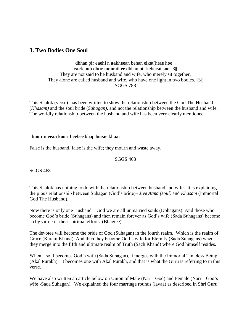# <span id="page-7-0"></span>**3. Two Bodies One Soul**

dhhan p**i**r e**ae**h**i** n **aa**kh**ee**an behan e**i**kat(h)**ae** h**o**e || e**ae**k j**o**th dh**u**e m**oo**rath**ee** dhhan p**i**r keh**eeai** s**o**e ||3|| They are not said to be husband and wife, who merely sit together. They alone are called husband and wife, who have one light in two bodies. ||3|| SGGS 788

This Shalok (verse) has been written to show the relationship between the God The Husband (*Khasam)* and the soul bride (*Suhagan)*, and not the relationship between the husband and wife. The worldly relationship between the husband and wife has been very clearly mentioned

k**oo**rr m**eeaa** k**oo**rr b**ee**b**ee** khap h**o**e**ae** kh**aa**r ||

False is the husband, false is the wife; they mourn and waste away.

#### SGGS 468

SGGS 468

This Shalok has nothing to do with the relationship between husband and wife. It is explaining the pious relationship between Suhagan (God's bride)– *Jive Atma (soul)* and *Khasam* (Immortal God The Husband).

Now there is only one Husband – God we are all unmarried souls (Dohagans). And those who become God's bride (Suhagans) and then remain forever as God's wife (Sada Suhagans) become so by virtue of their spiritual efforts (Bhagtee).

The devotee will become the bride of God (Suhagan) in the fourth realm. Which is the realm of Grace (Karam Khand). And then they become God's wife for Eternity (Sada Suhagans) when they merge into the fifth and ultimate realm of Truth (Sach Khand) where God himself resides.

When a soul becomes God's wife (Sada Suhagan), it merges with the Immortal Timeless Being (Akal Purakh). It becomes one with Akal Purakh, and that is what the Guru is referring to in this verse.

We have also written an article below on Union of Male (Nar – God) and Female (Nari – God's wife -Sada Suhagan). We explained the four marriage rounds (lavaa) as described in Shri Guru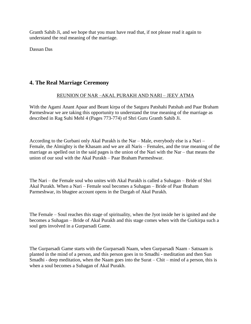Granth Sahib Ji, and we hope that you must have read that, if not please read it again to understand the real meaning of the marriage.

Dassan Das

# <span id="page-8-0"></span>**4. The Real Marriage Ceremony**

# REUNION OF NAR –AKAL PURAKH AND NARI – JEEV ATMA

With the Agami Anant Apaar and Beant kirpa of the Satguru Patshahi Patshah and Paar Braham Parmeshwar we are taking this opportunity to understand the true meaning of the marriage as described in Rag Suhi Mehl 4 (Pages 773-774) of Shri Guru Granth Sahib Ji.

According to the Gurbani only Akal Purakh is the Nar – Male, everybody else is a Nari – Female, the Almighty is the Khasam and we are all Naris – Females, and the true meaning of the marriage as spelled out in the said pages is the union of the Nari with the Nar – that means the union of our soul with the Akal Purakh – Paar Braham Parmeshwar.

The Nari – the Female soul who unites with Akal Purakh is called a Suhagan – Bride of Shri Akal Purakh. When a Nari – Female soul becomes a Suhagan – Bride of Paar Braham Parmeshwar, its bhagtee account opens in the Dargah of Akal Purakh.

The Female – Soul reaches this stage of spirituality, when the Jyot inside her is ignited and she becomes a Suhagan – Bride of Akal Purakh and this stage comes when with the Gurkirpa such a soul gets involved in a Gurparsadi Game.

The Gurparsadi Game starts with the Gurparsadi Naam, when Gurparsadi Naam - Satnaam is planted in the mind of a person, and this person goes in to Smadhi - meditation and then Sun Smadhi - deep meditation, when the Naam goes into the Surat – Chit – mind of a person, this is when a soul becomes a Suhagan of Akal Purakh.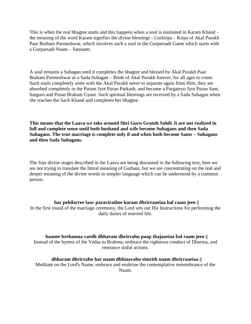This is when the real bhagtee starts and this happens when a soul is instituted in Karam Khand – the meaning of the word Karam signifies the divine blessings - Gurkirpa – Kirpa of Akal Purakh Paar Braham Parmeshwar, which involves such a soul in the Gurparsadi Game which starts with a Gurparsadi Naam – Satnaam.

A soul remains a Suhagan until it completes the bhagtee and blessed by Akal Purakh Paar Braham Parmeshwar as a Sada Suhagan – Bride of Akal Purakh forever, for all ages to come. Such souls completely unite with the Akal Purakh never to separate again from Him, they are absorbed completely in the Param Jyot Puran Parkash, and become a Pargateyo Jyot Puran Sant, Satguru and Puran Braham Gyani. Such spiritual blessings are received by a Sada Suhagan when she reaches the Sach Khand and completes her bhagtee.

**This means that the Laava we take around Shri Guru Granth Sahib Ji are not realized in full and complete sense until both husband and wife become Suhagans and then Sada Suhagans. The true marriage is complete only if and when both become Sants – Suhagans and then Sada Suhagans.**

The four divine stages described in the Laava are being discussed in the following text, here we are not trying to translate the literal meaning of Gurbani, but we are concentrating on the real and deeper meaning of the divine words in simpler language which can be understood by a common person.

**har pehilarree laav paravirathee karam dhrirraaeiaa bal raam jeeo ||** In the first round of the marriage ceremony, the Lord sets out His Instructions for performing the daily duties of married life.

**baanee brehamaa vaedh dhharam dhrirrahu paap thajaaeiaa bal raam jeeo ||** Instead of the hymns of the Vedas to Brahma, embrace the righteous conduct of Dharma, and renounce sinful actions.

**dhharam dhrirrahu har naam dhhiaavahu simrith naam dhrirraaeiaa ||** Meditate on the Lord's Name; embrace and enshrine the contemplative remembrance of the Naam.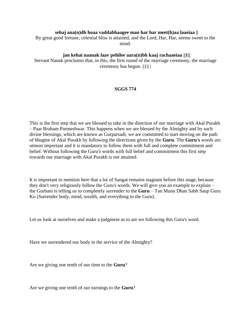#### **sehaj ana(n)dh hoaa vaddabhaagee man har har meet(h)aa laaeiaa ||**

By great good fortune, celestial bliss is attained, and the Lord, Har, Har, seems sweet to the mind.

# **jan kehai naanak laav pehilee aara(n)bh kaaj rachaaeiaa ||1||**

Servant Nanak proclaims that, in this, the first round of the marriage ceremony, the marriage ceremony has begun. ||1|| |

# **SGGS 774**

This is the first step that we are blessed to take in the direction of our marriage with Akal Purakh – Paar Braham Parmeshwar. This happens when we are blessed by the Almighty and by such divine blessings, which are known as Gurparsadi, we are committed to start moving on the path of bhagtee of Akal Purakh by following the directions given by the **Guru**. The **Guru's** words are utmost important and it is mandatory to follow them with full and complete commitment and belief. Without following the Guru's words with full belief and commitment this first step towards our marriage with Akal Purakh is not attained.

It is important to mention here that a lot of Sangat remains stagnant before this stage, because they don't very religiously follow the Guru's words. We will give you an example to explain – the Gurbani is telling us to completely surrender to the **Guru** – Tan Munn Dhan Sabh Saup Guru Ko (Surrender body, mind, wealth, and everything to the Guru).

Let us look at ourselves and make a judgment as to are we following this Guru's word.

Have we surrendered our body in the service of the Almighty?

Are we giving one tenth of our time to the **Guru**?

Are we giving one tenth of our earnings to the **Guru**?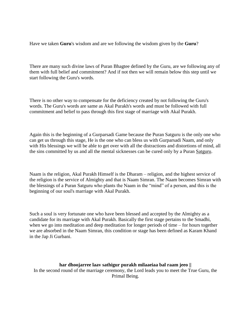Have we taken **Guru**'s wisdom and are we following the wisdom given by the **Guru**?

There are many such divine laws of Puran Bhagtee defined by the Guru, are we following any of them with full belief and commitment? And if not then we will remain below this step until we start following the Guru's words.

There is no other way to compensate for the deficiency created by not following the Guru's words. The Guru's words are same as Akal Purakh's words and must be followed with full commitment and belief to pass through this first stage of marriage with Akal Purakh.

Again this is the beginning of a Gurparsadi Game because the Puran Satguru is the only one who can get us through this stage, He is the one who can bless us with Gurparsadi Naam, and only with His blessings we will be able to get over with all the distractions and distortions of mind, all the sins committed by us and all the mental sicknesses can be cured only by a Puran Satguru.

Naam is the religion, Akal Purakh Himself is the Dharam – religion, and the highest service of the religion is the service of Almighty and that is Naam Simran. The Naam becomes Simran with the blessings of a Puran Satguru who plants the Naam in the "mind" of a person, and this is the beginning of our soul's marriage with Akal Purakh.

Such a soul is very fortunate one who have been blessed and accepted by the Almighty as a candidate for its marriage with Akal Purakh. Basically the first stage pertains to the Smadhi, when we go into meditation and deep meditation for longer periods of time – for hours together we are absorbed in the Naam Simran, this condition or stage has been defined as Karam Khand in the Jap Ji Gurbani.

**har dhoojarree laav sathigur purakh milaaeiaa bal raam jeeo ||** In the second round of the marriage ceremony, the Lord leads you to meet the True Guru, the Primal Being.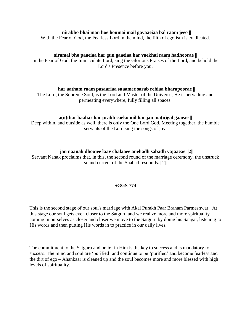## **nirabho bhai man hoe houmai mail gavaaeiaa bal raam jeeo ||**

With the Fear of God, the Fearless Lord in the mind, the filth of egotism is eradicated.

#### **niramal bho paaeiaa har gun gaaeiaa har vaekhai raam hadhoorae ||**

In the Fear of God, the Immaculate Lord, sing the Glorious Praises of the Lord, and behold the Lord's Presence before you.

#### **har aatham raam pasaariaa suaamee sarab rehiaa bharapoorae ||**

The Lord, the Supreme Soul, is the Lord and Master of the Universe; He is pervading and permeating everywhere, fully filling all spaces.

#### **a(n)thar baahar har prabh eaeko mil har jan ma(n)gal gaaeae ||**

Deep within, and outside as well, there is only the One Lord God. Meeting together, the humble servants of the Lord sing the songs of joy.

#### **jan naanak dhoojee laav chalaaee anehadh sabadh vajaaeae ||2||**

Servant Nanak proclaims that, in this, the second round of the marriage ceremony, the unstruck sound current of the Shabad resounds.  $||2||$ 

#### **SGGS 774**

This is the second stage of our soul's marriage with Akal Purakh Paar Braham Parmeshwar. At this stage our soul gets even closer to the Satguru and we realize more and more spirituality coming in ourselves as closer and closer we move to the Satguru by doing his Sangat, listening to His words and then putting His words in to practice in our daily lives.

The commitment to the Satguru and belief in Him is the key to success and is mandatory for success. The mind and soul are 'purified' and continue to be 'purified' and become fearless and the dirt of ego – Ahankaar is cleaned up and the soul becomes more and more blessed with high levels of spirituality.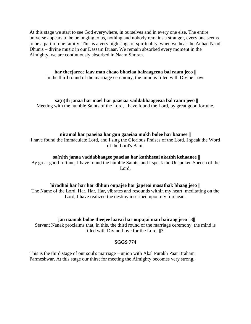At this stage we start to see God everywhere, in ourselves and in every one else. The entire universe appears to be belonging to us, nothing and nobody remains a stranger, every one seems to be a part of one family. This is a very high stage of spirituality, when we hear the Anhad Naad Dhunis – divine music in our Dassam Duaar. We remain absorbed every moment in the Almighty, we are continuously absorbed in Naam Simran.

**har theejarree laav man chaao bhaeiaa bairaageeaa bal raam jeeo ||** In the third round of the marriage ceremony, the mind is filled with Divine Love

**sa(n)th janaa har mael har paaeiaa vaddabhaageeaa bal raam jeeo ||** Meeting with the humble Saints of the Lord, I have found the Lord, by great good fortune.

#### **niramal har paaeiaa har gun gaaeiaa mukh bolee har baanee ||**

I have found the Immaculate Lord, and I sing the Glorious Praises of the Lord. I speak the Word of the Lord's Bani.

#### **sa(n)th janaa vaddabhaagee paaeiaa har kathheeai akathh kehaanee ||**

By great good fortune, I have found the humble Saints, and I speak the Unspoken Speech of the Lord.

#### **hiradhai har har har dhhun oupajee har japeeai masathak bhaag jeeo ||**

The Name of the Lord, Har, Har, Har, vibrates and resounds within my heart; meditating on the Lord, I have realized the destiny inscribed upon my forehead.

#### **jan naanak bolae theejee laavai har oupajai man bairaag jeeo ||3||**

Servant Nanak proclaims that, in this, the third round of the marriage ceremony, the mind is filled with Divine Love for the Lord. ||3||

#### **SGGS 774**

This is the third stage of our soul's marriage – union with Akal Purakh Paar Braham Parmeshwar. At this stage our thirst for meeting the Almighty becomes very strong.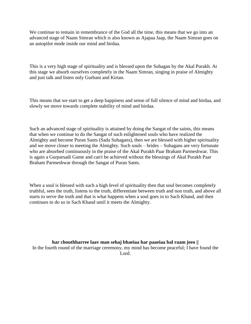We continue to remain in remembrance of the God all the time, this means that we go into an advanced stage of Naam Simran which is also known as Ajapaa Jaap, the Naam Simran goes on an autopilot mode inside our mind and hirdaa.

This is a very high stage of spirituality and is blessed upon the Suhagan by the Akal Purakh. At this stage we absorb ourselves completely in the Naam Simran, singing in praise of Almighty and just talk and listen only Gurbani and Kirtan.

This means that we start to get a deep happiness and sense of full silence of mind and hirdaa, and slowly we move towards complete stability of mind and hirdaa.

Such an advanced stage of spirituality is attained by doing the Sangat of the saints, this means that when we continue to do the Sangat of such enlightened souls who have realized the Almighty and become Puran Sants (Sada Suhagans), then we are blessed with higher spirituality and we move closer to meeting the Almighty. Such souls – brides – Suhagans are very fortunate who are absorbed continuously in the praise of the Akal Purakh Paar Braham Parmeshwar. This is again a Gurparsadi Game and can't be achieved without the blessings of Akal Purakh Paar Braham Parmeshwar through the Sangat of Puran Sants.

When a soul is blessed with such a high level of spirituality then that soul becomes completely truthful, sees the truth, listens to the truth, differentiate between truth and non truth, and above all starts to serve the truth and that is what happens when a soul goes in to Sach Khand, and then continues to do so in Sach Khand until it meets the Almighty.

**har chouthharree laav man sehaj bhaeiaa har paaeiaa bal raam jeeo ||** In the fourth round of the marriage ceremony, my mind has become peaceful; I have found the Lord.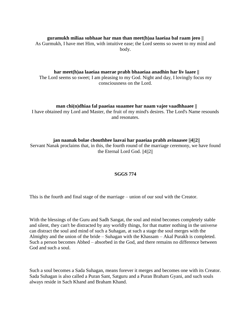### **guramukh miliaa subhaae har man than meet(h)aa laaeiaa bal raam jeeo ||**

As Gurmukh, I have met Him, with intuitive ease; the Lord seems so sweet to my mind and body.

**har meet(h)aa laaeiaa maerae prabh bhaaeiaa anadhin har liv laaee ||** The Lord seems so sweet; I am pleasing to my God. Night and day, I lovingly focus my consciousness on the Lord.

## **man chi(n)dhiaa fal paaeiaa suaamee har naam vajee vaadhhaaee ||**

I have obtained my Lord and Master, the fruit of my mind's desires. The Lord's Name resounds and resonates.

#### **jan naanak bolae chouthhee laavai har paaeiaa prabh avinaasee ||4||2||**

Servant Nanak proclaims that, in this, the fourth round of the marriage ceremony, we have found the Eternal Lord God. ||4||2||

## **SGGS 774**

This is the fourth and final stage of the marriage – union of our soul with the Creator.

With the blessings of the Guru and Sadh Sangat, the soul and mind becomes completely stable and silent, they can't be distracted by any worldly things, for that matter nothing in the universe can distract the soul and mind of such a Suhagan, at such a stage the soul merges with the Almighty and the union of the bride – Suhagan with the Khassam – Akal Purakh is completed. Such a person becomes Abhed – absorbed in the God, and there remains no difference between God and such a soul.

Such a soul becomes a Sada Suhagan, means forever it merges and becomes one with its Creator. Sada Suhagan is also called a Puran Sant, Satguru and a Puran Braham Gyani, and such souls always reside in Sach Khand and Braham Khand.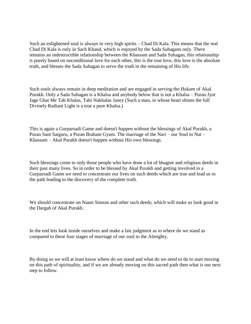Such an enlightened soul is always in very high spirits – Chad Di Kala. This means that the real Chad Di Kala is only in Sach Khand, which is enjoyed by the Sada Suhagans only. There remains an indestructible relationship between the Khassam and Sada Suhagan, this relationship is purely based on unconditional love for each other, this is the true love, this love is the absolute truth, and blesses the Sada Suhagan to serve the truth in the remaining of His life.

Such souls always remain in deep meditation and are engaged in serving the Hukam of Akal Purakh. Only a Sada Suhagan is a Khalsa and anybody below that is not a Khalsa – Puran Jyot Jage Ghat Me Tab Khalas, Tahi Nakhalas Janey (Such a man, in whose heart shines the full Divinely Radiant Light is a true a pure Khalsa.)

This is again a Gurparsadi Game and doesn't happen without the blessings of Akal Purakh, a Puran Sant Satguru, a Puran Braham Gyani. The marriage of the Nari – our Soul to Nar – Khassam – Akal Purakh doesn't happen without His own blessings.

Such blessings come to only those people who have done a lot of bhagtee and religious deeds in their past many lives. So in order to be blessed by Akal Purakh and getting involved in a Gurparsadi Game we need to concentrate our lives on such deeds which are true and lead us to the path leading to the discovery of the complete truth.

We should concentrate on Naam Simran and other such deeds, which will make us look good in the Dargah of Akal Purakh.

In the end lets look inside ourselves and make a fair judgment as to where do we stand as compared to these four stages of marriage of our soul to the Almighty.

By doing so we will at least know where do we stand and what do we need to do to start moving on this path of spirituality, and if we are already moving on this sacred path then what is our next step to follow.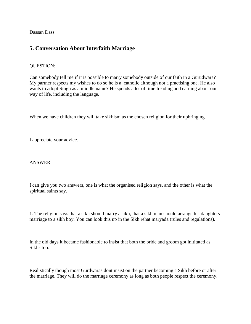Dassan Dass

# <span id="page-17-0"></span>**5. Conversation About Interfaith Marriage**

# QUESTION:

Can somebody tell me if it is possible to marry somebody outside of our faith in a Gurudwara? My partner respects my wishes to do so he is a catholic although not a practising one. He also wants to adopt Singh as a middle name? He spends a lot of time lreading and earning about our way of life, including the language.

When we have children they will take sikhism as the chosen religion for their upbringing.

I appreciate your advice.

## ANSWER:

I can give you two answers, one is what the organised religion says, and the other is what the spiritual saints say.

1. The religion says that a sikh should marry a sikh, that a sikh man should arrange his daughters marriage to a sikh boy. You can look this up in the Sikh rehat maryada (rules and regulations).

In the old days it became fashionable to insist that both the bride and groom got inititated as Sikhs too.

Realistically though most Gurdwaras dont insist on the partner becoming a Sikh before or after the marriage. They will do the marriage ceremony as long as both people respect the ceremony.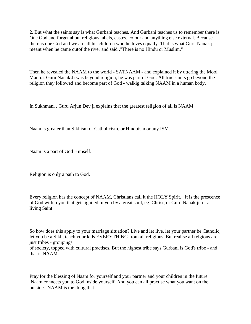2. But what the saints say is what Gurbani teaches. And Gurbani teaches us to remember there is One God and forget about religious labels, castes, colour and anything else external. Because there is one God and we are all his children who he loves equally. That is what Guru Nanak ji meant when he came outof the river and said ,"There is no Hindu or Muslim."

Then he revealed the NAAM to the world - SATNAAM - and explained it by uttering the Mool Mantra. Guru Nanak Ji was beyond religion, he was part of God. All true saints go beyond the religion they followed and become part of God - walkig talking NAAM in a human body.

In Sukhmani , Guru Arjun Dev ji explains that the greatest religion of all is NAAM.

Naam is greater than Sikhism or Catholicism, or Hinduism or any ISM.

Naam is a part of God Himself.

Religion is only a path to God.

Every religion has the concept of NAAM, Christians call it the HOLY Spirit. It is the prescence of God within you that gets ignited in you by a great soul, eg Christ, or Guru Nanak ji, or a living Saint

So how does this apply to your marriage situation? Live and let live, let your partner be Catholic, let you be a Sikh, teach your kids EVERYTHING from all religions. But realise all relgions are just tribes - groupings of society, topped with cultural practises. But the highest tribe says Gurbani is God's tribe - and that is NAAM.

Pray for the blessing of Naam for yourself and your partner and your children in the future. Naam connects you to God inside yourself. And you can all practise what you want on the outside. NAAM is the thing that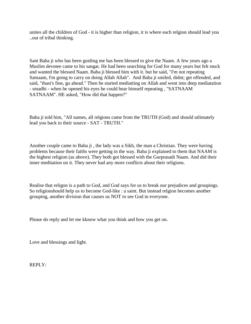unites all the children of God - it is higher than religion, it is where each relgion should lead you ..out of tribal thinking.

Sant Baba ji who has been guiding me has been blessed to give the Naam. A few years ago a Muslim devotee came to his sangat. He had been searching for God for many years but felt stuck and wanted the blessed Naam. Baba ji blessed him with it. but he said, "I'm not repeating Satnaam, I'm going to carry on doing Allah Allah". And Baba ji smiled, didnt; get offended, and said, "thast's fine, go ahead." Then he started mediatting on Allah and went into deep mediatation - smadhi - when he opened his eyes he could hear himself repeating , "SATNAAM SATNAAM". HE asked, "How did that happen?"

Baba ji told him, "All names, all relgions came from the TRUTH (God) and should utlimately lead you back to their source - SAT - TRUTH."

Another couple came to Baba ji , the lady was a Sikh, the man a Christian. They were having problems because their faiths were getting in the way. Baba ji explained to them that NAAM is the highest religion (as above). They both got blessed with the Gurprasadi Naam. And did their inner meditation on it. They never had any more conflicts about their religions.

Realise that religon is a path to God, and God says for us to break our prejudices and groupings. So religionshould help us to become God-like : a saint. But instead relgion becomes another grouping, another division that causes us NOT to see God in everyone.

Please do reply and let me kknow what you think and how you get on.

Love and blessings and light.

REPLY: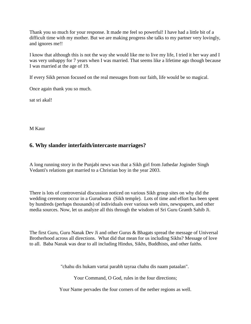Thank you so much for your response. It made me feel so powerful! I have had a little bit of a difficult time with my mother. But we are making progress she talks to my partner very lovingly, and ignores me!!

I know that although this is not the way she would like me to live my life, I tried it her way and I was very unhappy for 7 years when I was married. That seems like a lifetime ago though because I was married at the age of 19.

If every Sikh person focused on the real messages from our faith, life would be so magical.

Once again thank you so much.

sat sri akal!

M Kaur

# <span id="page-20-0"></span>**6. Why slander interfaith/intercaste marriages?**

A long running story in the Punjabi news was that a Sikh girl from Jathedar Joginder Singh Vedanti's relations got married to a Christian boy in the year 2003.

There is lots of controversial discussion noticed on various Sikh group sites on why did the wedding ceremony occur in a Gurudwara (Sikh temple). Lots of time and effort has been spent by hundreds (perhaps thousands) of individuals over various web sites, newspapers, and other media sources. Now, let us analyze all this through the wisdom of Sri Guru Granth Sahib Ji.

The first Guru, Guru Nanak Dev Ji and other Gurus & Bhagats spread the message of Universal Brotherhood across all directions. What did that mean for us including Sikhs? Message of love to all. Baba Nanak was dear to all including Hindus, Sikhs, Buddhists, and other faiths.

"chahu dis hukam vartai parabh tayraa chahu dis naam pataalan".

Your Command, O God, rules in the four directions;

Your Name pervades the four corners of the nether regions as well.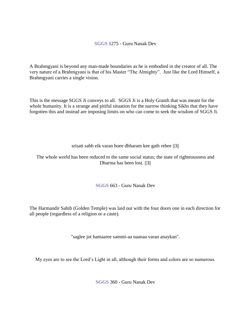**SGGS** 1275 - Guru Nanak Dev

A Brahmgyani is beyond any man-made boundaries as he is embodied in the creator of all. The very nature of a Brahmgyani is that of his Master "The Almighty". Just like the Lord Himself, a Brahmgyani carries a single vision.

This is the message SGGS Ji conveys to all. SGGS Ji is a Holy Granth that was meant for the whole humanity. It is a strange and pitiful situation for the narrow thinking Sikhs that they have forgotten this and instead are imposing limits on who can come to seek the wisdom of SGGS Ji.

srisatt sabh eik varan hoee dhharam kee gath rehee ||3||

The whole world has been reduced to the same social status; the state of righteousness and Dharma has been lost. ||3||

**SGGS** 663 - Guru Nanak Dev

The Harmandir Sahib (Golden Temple) was laid out with the four doors one in each direction for all people (regardless of a religion or a caste).

"saglee jot hamaaree sammi-aa naanaa varan anaykan".

My eyes are to see the Lord's Light in all, although their forms and colors are so numerous.

**SGGS** 360 - Guru Nanak Dev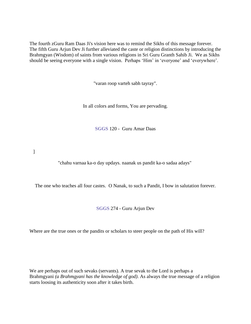The fourth zGuru Ram Daas Ji's vision here was to remind the Sikhs of this message forever. The fifth Guru Arjun Dev Ji further alleviated the caste or religion distinctions by introducing the Brahmgyan (Wisdom) of saints from various religions in Sri Guru Granth Sahib Ji. We as Sikhs should be seeing everyone with a single vision. Perhaps 'Him' in 'everyone' and 'everywhere'.

"varan roop varteh sabh tayray".

In all colors and forms, You are pervading.

**SGGS** 120 - Guru Amar Daas

]

"chahu varnaa ka-o day updays. naanak us pandit ka-o sadaa adays"

The one who teaches all four castes. O Nanak, to such a Pandit, I bow in salutation forever.

**SGGS** 274 - Guru Arjun Dev

Where are the true ones or the pandits or scholars to steer people on the path of His will?

We are perhaps out of such sevaks (servants). A true sevak to the Lord is perhaps a Brahmgyani *(a Brahmgyani has the knowledge of god)*. As always the true message of a religion starts loosing its authenticity soon after it takes birth.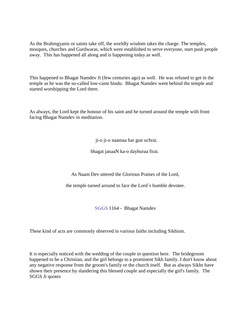As the Brahmgyanis or saints take off, the worldly wisdom takes the charge. The temples, mosques, churches and Gurdwaras, which were established to serve everyone, start push people away. This has happened all along and is happening today as well.

This happened to Bhagat Namdev Ji (few centuries ago) as well. He was refused to get in the temple as he was the so-called low-caste hindu. Bhagat Namdev went behind the temple and started worshipping the Lord there.

As always, the Lord kept the honour of his saint and he turned around the temple with front facing Bhagat Namdev in meditation.

ji-o ji-o naamaa har gun uchrai.

bhagat janaaN ka-o dayhuraa firai.

As Naam Dev uttered the Glorious Praises of the Lord,

the temple turned around to face the Lord`s humble devotee.

**SGGS** 1164 - Bhagat Namdev

These kind of acts are commonly observed in various faiths including Sikhism.

It is especially noticed with the wedding of the couple in question here. The bridegroom happened to be a Christian, and the girl belongs to a prominent Sikh family. I don't know about any negative response from the groom's family or the church itself. But as always Sikhs have shown their presence by slandering this blessed couple and especially the girl's family. The SGGS Ji quotes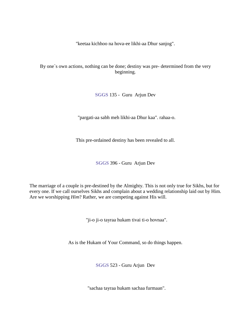"keetaa kichhoo na hova-ee likhi-aa Dhur sanjog".

By one`s own actions, nothing can be done; destiny was pre- determined from the very beginning.

**SGGS** 135 - Guru Arjun Dev

"pargati-aa sabh meh likhi-aa Dhur kaa". rahaa-o.

This pre-ordained destiny has been revealed to all.

**SGGS** 396 - Guru Arjun Dev

The marriage of a couple is pre-destined by the Almighty. This is not only true for Sikhs, but for every one. If we call ourselves Sikhs and complain about a wedding relationship laid out by Him. Are we worshipping *Him*? Rather, we are competing against His will.

"ji-o ji-o tayraa hukam tivai ti-o hovnaa".

As is the Hukam of Your Command, so do things happen.

**SGGS** 523 - Guru Arjun Dev

"sachaa tayraa hukam sachaa furmaan".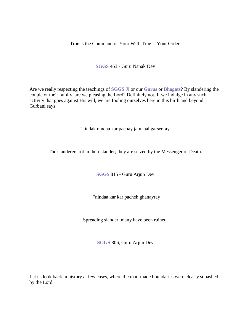True is the Command of Your Will, True is Your Order.

**SGGS** 463 - Guru Nanak Dev

Are we really respecting the teachings of **SGGS Ji** or our **Gurus** or **Bhagats**? By slandering the couple or their family, are we pleasing the Lord? Definitely not. If we indulge in any such activity that goes against His will, we are fooling ourselves here in this birth and beyond. Gurbani says

"nindak nindaa kar pachay jamkaal garsee-ay".

The slanderers rot in their slander; they are seized by the Messenger of Death.

**SGGS** 815 - Guru Arjun Dev

"nindaa kar kar pacheh ghanayray

Spreading slander, many have been ruined.

**SGGS** 806, Guru Arjun Dev

Let us look back in history at few cases, where the man-made boundaries were clearly squashed by the Lord.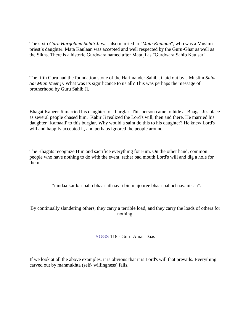The sixth *Guru Hargobind Sahib Ji* was also married to "*Mata Kaulaan*", who was a Muslim priest`s daughter. Mata Kaulaan was accepted and well respected by the Guru-Ghar as well as the Sikhs. There is a historic Gurdwara named after Mata ji as "Gurdwara Sahib Kaulsar".

The fifth Guru had the foundation stone of the Harimander Sahib Ji laid out by a Muslim *Saint Sai Mian Meer ji*. What was its significance to us all? This was perhaps the message of brotherhood by Guru Sahib Ji.

Bhagat Kabeer Ji married his daughter to a burglar. This person came to hide at Bhagat Ji's place as several people chased him. Kabir Ji realized the Lord's will, then and there. He married his daughter `Kamaali' to this burglar. Why would a saint do this to his daughter? He knew Lord's will and happily accepted it, and perhaps ignored the people around.

The Bhagats recognize Him and sacrifice everything for Him. On the other hand, common people who have nothing to do with the event, rather bad mouth Lord's will and dig a hole for them.

"nindaa kar kar baho bhaar uthaavai bin majooree bhaar pahuchaavani- aa".

By continually slandering others, they carry a terrible load, and they carry the loads of others for nothing.

## **SGGS** 118 - Guru Amar Daas

If we look at all the above examples, it is obvious that it is Lord's will that prevails. Everything carved out by manmukhta (self- willingness) fails.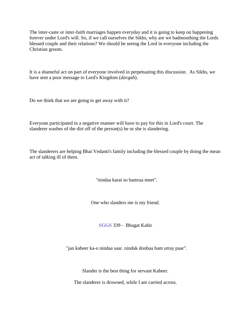The inter-caste or inter-faith marriages happen everyday and it is going to keep on happening forever under Lord's will. So, if we call ourselves the Sikhs, why are we badmouthing the Lords blessed couple and their relations? We should be seeing the Lord in everyone including the Christian groom.

It is a shameful act on part of everyone involved in perpetuating this discussion. As Sikhs, we have sent a poor message to Lord's Kingdom (*dargah*).

Do we think that we are going to get away with it?

Everyone participated in a negative manner will have to pay for this in Lord's court. The slanderer washes of the dirt off of the person(s) he or she is slandering.

The slanderers are helping Bhai Vedanti's family including the blessed couple by doing the mean act of talking ill of them.

"nindaa karai so hamraa meet".

One who slanders me is my friend.

**SGGS** 339 - Bhagat Kabir

"jan kabeer ka-o nindaa saar. nindak doobaa ham utray paar".

Slander is the best thing for servant Kabeer.

The slanderer is drowned, while I am carried across.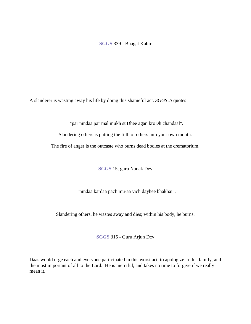## **SGGS** 339 - Bhagat Kabir

A slanderer is wasting away his life by doing this shameful act. *SGGS Ji* quotes

"par nindaa par mal mukh suDhee agan kroDh chandaal".

Slandering others is putting the filth of others into your own mouth.

The fire of anger is the outcaste who burns dead bodies at the crematorium.

**SGGS** 15, guru Nanak Dev

"nindaa kardaa pach mu-aa vich dayhee bhakhai".

Slandering others, he wastes away and dies; within his body, he burns.

**SGGS** 315 - Guru Arjun Dev

Daas would urge each and everyone participated in this worst act, to apologize to this family, and the most important of all to the Lord. He is merciful, and takes no time to forgive if we really mean it.